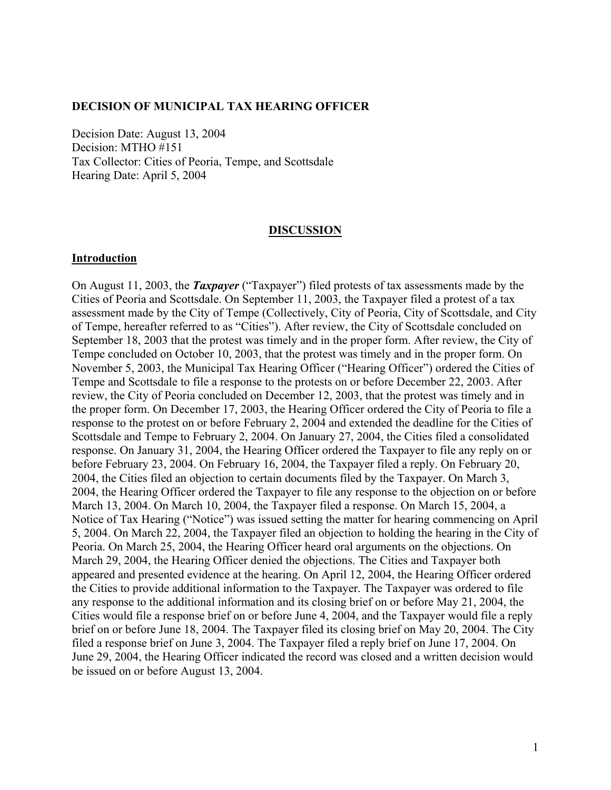#### **DECISION OF MUNICIPAL TAX HEARING OFFICER**

Decision Date: August 13, 2004 Decision: MTHO #151 Tax Collector: Cities of Peoria, Tempe, and Scottsdale Hearing Date: April 5, 2004

#### **DISCUSSION**

#### **Introduction**

On August 11, 2003, the *Taxpayer* ("Taxpayer") filed protests of tax assessments made by the Cities of Peoria and Scottsdale. On September 11, 2003, the Taxpayer filed a protest of a tax assessment made by the City of Tempe (Collectively, City of Peoria, City of Scottsdale, and City of Tempe, hereafter referred to as "Cities"). After review, the City of Scottsdale concluded on September 18, 2003 that the protest was timely and in the proper form. After review, the City of Tempe concluded on October 10, 2003, that the protest was timely and in the proper form. On November 5, 2003, the Municipal Tax Hearing Officer ("Hearing Officer") ordered the Cities of Tempe and Scottsdale to file a response to the protests on or before December 22, 2003. After review, the City of Peoria concluded on December 12, 2003, that the protest was timely and in the proper form. On December 17, 2003, the Hearing Officer ordered the City of Peoria to file a response to the protest on or before February 2, 2004 and extended the deadline for the Cities of Scottsdale and Tempe to February 2, 2004. On January 27, 2004, the Cities filed a consolidated response. On January 31, 2004, the Hearing Officer ordered the Taxpayer to file any reply on or before February 23, 2004. On February 16, 2004, the Taxpayer filed a reply. On February 20, 2004, the Cities filed an objection to certain documents filed by the Taxpayer. On March 3, 2004, the Hearing Officer ordered the Taxpayer to file any response to the objection on or before March 13, 2004. On March 10, 2004, the Taxpayer filed a response. On March 15, 2004, a Notice of Tax Hearing ("Notice") was issued setting the matter for hearing commencing on April 5, 2004. On March 22, 2004, the Taxpayer filed an objection to holding the hearing in the City of Peoria. On March 25, 2004, the Hearing Officer heard oral arguments on the objections. On March 29, 2004, the Hearing Officer denied the objections. The Cities and Taxpayer both appeared and presented evidence at the hearing. On April 12, 2004, the Hearing Officer ordered the Cities to provide additional information to the Taxpayer. The Taxpayer was ordered to file any response to the additional information and its closing brief on or before May 21, 2004, the Cities would file a response brief on or before June 4, 2004, and the Taxpayer would file a reply brief on or before June 18, 2004. The Taxpayer filed its closing brief on May 20, 2004. The City filed a response brief on June 3, 2004. The Taxpayer filed a reply brief on June 17, 2004. On June 29, 2004, the Hearing Officer indicated the record was closed and a written decision would be issued on or before August 13, 2004.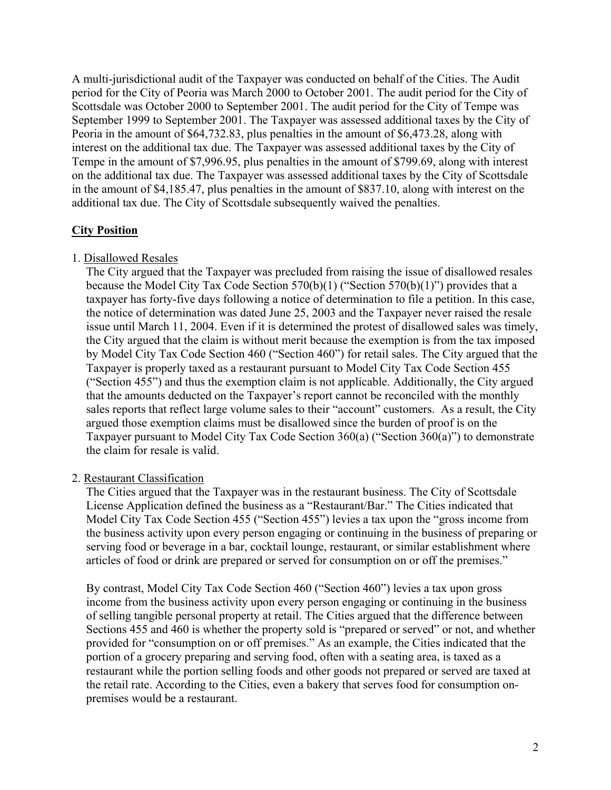A multi-jurisdictional audit of the Taxpayer was conducted on behalf of the Cities. The Audit period for the City of Peoria was March 2000 to October 2001. The audit period for the City of Scottsdale was October 2000 to September 2001. The audit period for the City of Tempe was September 1999 to September 2001. The Taxpayer was assessed additional taxes by the City of Peoria in the amount of \$64,732.83, plus penalties in the amount of \$6,473.28, along with interest on the additional tax due. The Taxpayer was assessed additional taxes by the City of Tempe in the amount of \$7,996.95, plus penalties in the amount of \$799.69, along with interest on the additional tax due. The Taxpayer was assessed additional taxes by the City of Scottsdale in the amount of \$4,185.47, plus penalties in the amount of \$837.10, along with interest on the additional tax due. The City of Scottsdale subsequently waived the penalties.

### **City Position**

### 1. Disallowed Resales

The City argued that the Taxpayer was precluded from raising the issue of disallowed resales because the Model City Tax Code Section 570(b)(1) ("Section 570(b)(1)") provides that a taxpayer has forty-five days following a notice of determination to file a petition. In this case, the notice of determination was dated June 25, 2003 and the Taxpayer never raised the resale issue until March 11, 2004. Even if it is determined the protest of disallowed sales was timely, the City argued that the claim is without merit because the exemption is from the tax imposed by Model City Tax Code Section 460 ("Section 460") for retail sales. The City argued that the Taxpayer is properly taxed as a restaurant pursuant to Model City Tax Code Section 455 ("Section 455") and thus the exemption claim is not applicable. Additionally, the City argued that the amounts deducted on the Taxpayer's report cannot be reconciled with the monthly sales reports that reflect large volume sales to their "account" customers. As a result, the City argued those exemption claims must be disallowed since the burden of proof is on the Taxpayer pursuant to Model City Tax Code Section 360(a) ("Section 360(a)") to demonstrate the claim for resale is valid.

### 2. Restaurant Classification

The Cities argued that the Taxpayer was in the restaurant business. The City of Scottsdale License Application defined the business as a "Restaurant/Bar." The Cities indicated that Model City Tax Code Section 455 ("Section 455") levies a tax upon the "gross income from the business activity upon every person engaging or continuing in the business of preparing or serving food or beverage in a bar, cocktail lounge, restaurant, or similar establishment where articles of food or drink are prepared or served for consumption on or off the premises."

By contrast, Model City Tax Code Section 460 ("Section 460") levies a tax upon gross income from the business activity upon every person engaging or continuing in the business of selling tangible personal property at retail. The Cities argued that the difference between Sections 455 and 460 is whether the property sold is "prepared or served" or not, and whether provided for "consumption on or off premises." As an example, the Cities indicated that the portion of a grocery preparing and serving food, often with a seating area, is taxed as a restaurant while the portion selling foods and other goods not prepared or served are taxed at the retail rate. According to the Cities, even a bakery that serves food for consumption onpremises would be a restaurant.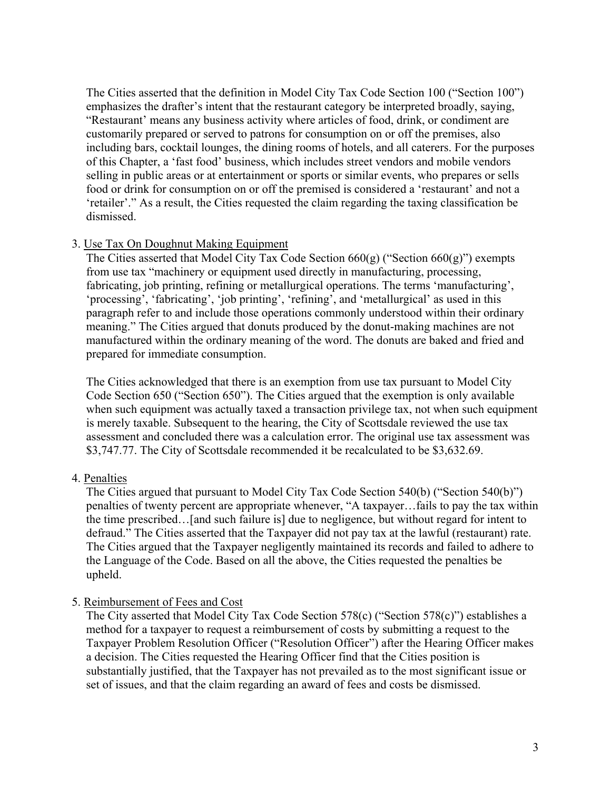The Cities asserted that the definition in Model City Tax Code Section 100 ("Section 100") emphasizes the drafter's intent that the restaurant category be interpreted broadly, saying, "Restaurant' means any business activity where articles of food, drink, or condiment are customarily prepared or served to patrons for consumption on or off the premises, also including bars, cocktail lounges, the dining rooms of hotels, and all caterers. For the purposes of this Chapter, a 'fast food' business, which includes street vendors and mobile vendors selling in public areas or at entertainment or sports or similar events, who prepares or sells food or drink for consumption on or off the premised is considered a 'restaurant' and not a 'retailer'." As a result, the Cities requested the claim regarding the taxing classification be dismissed.

### 3. Use Tax On Doughnut Making Equipment

The Cities asserted that Model City Tax Code Section  $660(g)$  ("Section  $660(g)$ ") exempts from use tax "machinery or equipment used directly in manufacturing, processing, fabricating, job printing, refining or metallurgical operations. The terms 'manufacturing', 'processing', 'fabricating', 'job printing', 'refining', and 'metallurgical' as used in this paragraph refer to and include those operations commonly understood within their ordinary meaning." The Cities argued that donuts produced by the donut-making machines are not manufactured within the ordinary meaning of the word. The donuts are baked and fried and prepared for immediate consumption.

The Cities acknowledged that there is an exemption from use tax pursuant to Model City Code Section 650 ("Section 650"). The Cities argued that the exemption is only available when such equipment was actually taxed a transaction privilege tax, not when such equipment is merely taxable. Subsequent to the hearing, the City of Scottsdale reviewed the use tax assessment and concluded there was a calculation error. The original use tax assessment was \$3,747.77. The City of Scottsdale recommended it be recalculated to be \$3,632.69.

### 4. Penalties

The Cities argued that pursuant to Model City Tax Code Section 540(b) ("Section 540(b)") penalties of twenty percent are appropriate whenever, "A taxpayer…fails to pay the tax within the time prescribed…[and such failure is] due to negligence, but without regard for intent to defraud." The Cities asserted that the Taxpayer did not pay tax at the lawful (restaurant) rate. The Cities argued that the Taxpayer negligently maintained its records and failed to adhere to the Language of the Code. Based on all the above, the Cities requested the penalties be upheld.

### 5. Reimbursement of Fees and Cost

The City asserted that Model City Tax Code Section 578(c) ("Section 578(c)") establishes a method for a taxpayer to request a reimbursement of costs by submitting a request to the Taxpayer Problem Resolution Officer ("Resolution Officer") after the Hearing Officer makes a decision. The Cities requested the Hearing Officer find that the Cities position is substantially justified, that the Taxpayer has not prevailed as to the most significant issue or set of issues, and that the claim regarding an award of fees and costs be dismissed.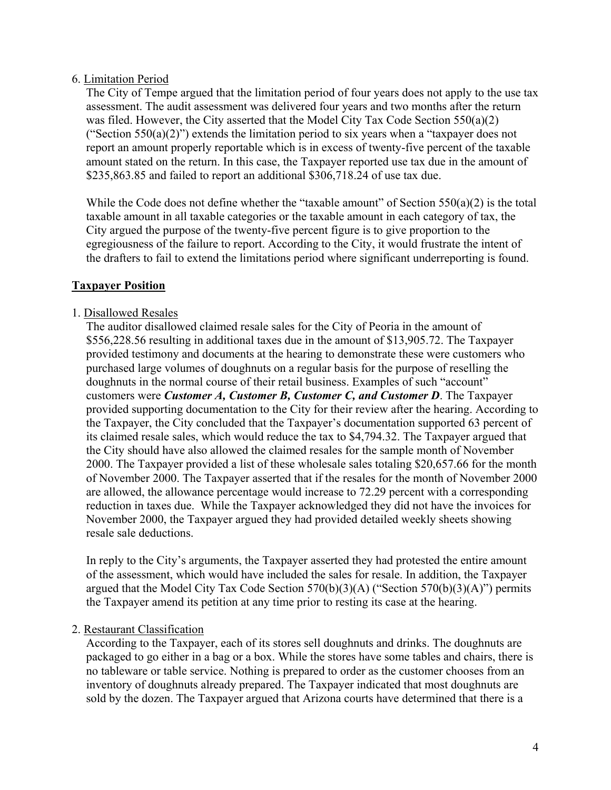### 6. Limitation Period

The City of Tempe argued that the limitation period of four years does not apply to the use tax assessment. The audit assessment was delivered four years and two months after the return was filed. However, the City asserted that the Model City Tax Code Section 550(a)(2) ("Section 550(a)(2)") extends the limitation period to six years when a "taxpayer does not report an amount properly reportable which is in excess of twenty-five percent of the taxable amount stated on the return. In this case, the Taxpayer reported use tax due in the amount of \$235,863.85 and failed to report an additional \$306,718.24 of use tax due.

While the Code does not define whether the "taxable amount" of Section 550(a)(2) is the total taxable amount in all taxable categories or the taxable amount in each category of tax, the City argued the purpose of the twenty-five percent figure is to give proportion to the egregiousness of the failure to report. According to the City, it would frustrate the intent of the drafters to fail to extend the limitations period where significant underreporting is found.

### **Taxpayer Position**

### 1. Disallowed Resales

The auditor disallowed claimed resale sales for the City of Peoria in the amount of \$556,228.56 resulting in additional taxes due in the amount of \$13,905.72. The Taxpayer provided testimony and documents at the hearing to demonstrate these were customers who purchased large volumes of doughnuts on a regular basis for the purpose of reselling the doughnuts in the normal course of their retail business. Examples of such "account" customers were *Customer A, Customer B, Customer C, and Customer D*. The Taxpayer provided supporting documentation to the City for their review after the hearing. According to the Taxpayer, the City concluded that the Taxpayer's documentation supported 63 percent of its claimed resale sales, which would reduce the tax to \$4,794.32. The Taxpayer argued that the City should have also allowed the claimed resales for the sample month of November 2000. The Taxpayer provided a list of these wholesale sales totaling \$20,657.66 for the month of November 2000. The Taxpayer asserted that if the resales for the month of November 2000 are allowed, the allowance percentage would increase to 72.29 percent with a corresponding reduction in taxes due. While the Taxpayer acknowledged they did not have the invoices for November 2000, the Taxpayer argued they had provided detailed weekly sheets showing resale sale deductions.

In reply to the City's arguments, the Taxpayer asserted they had protested the entire amount of the assessment, which would have included the sales for resale. In addition, the Taxpayer argued that the Model City Tax Code Section 570(b)(3)(A) ("Section 570(b)(3)(A)") permits the Taxpayer amend its petition at any time prior to resting its case at the hearing.

#### 2. Restaurant Classification

According to the Taxpayer, each of its stores sell doughnuts and drinks. The doughnuts are packaged to go either in a bag or a box. While the stores have some tables and chairs, there is no tableware or table service. Nothing is prepared to order as the customer chooses from an inventory of doughnuts already prepared. The Taxpayer indicated that most doughnuts are sold by the dozen. The Taxpayer argued that Arizona courts have determined that there is a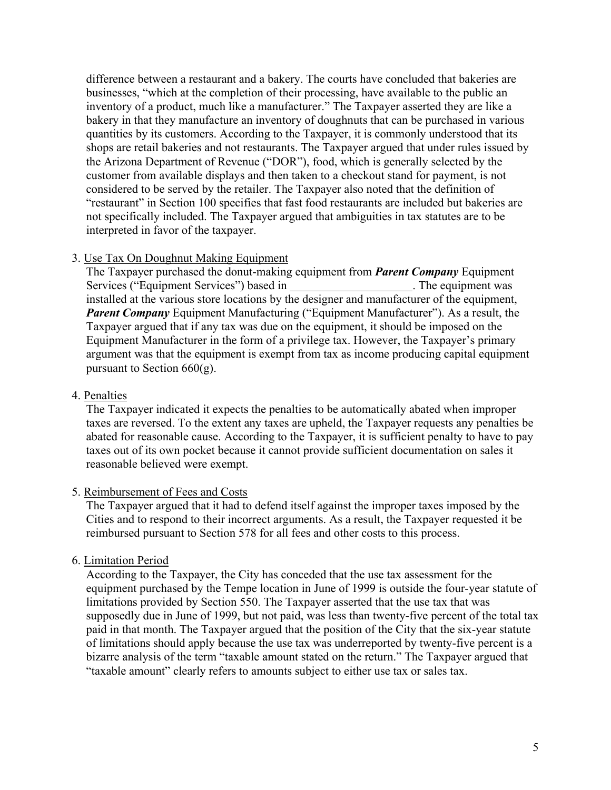difference between a restaurant and a bakery. The courts have concluded that bakeries are businesses, "which at the completion of their processing, have available to the public an inventory of a product, much like a manufacturer." The Taxpayer asserted they are like a bakery in that they manufacture an inventory of doughnuts that can be purchased in various quantities by its customers. According to the Taxpayer, it is commonly understood that its shops are retail bakeries and not restaurants. The Taxpayer argued that under rules issued by the Arizona Department of Revenue ("DOR"), food, which is generally selected by the customer from available displays and then taken to a checkout stand for payment, is not considered to be served by the retailer. The Taxpayer also noted that the definition of "restaurant" in Section 100 specifies that fast food restaurants are included but bakeries are not specifically included. The Taxpayer argued that ambiguities in tax statutes are to be interpreted in favor of the taxpayer.

### 3. Use Tax On Doughnut Making Equipment

The Taxpayer purchased the donut-making equipment from *Parent Company* Equipment Services ("Equipment Services") based in . The equipment was installed at the various store locations by the designer and manufacturer of the equipment, *Parent Company* Equipment Manufacturing ("Equipment Manufacturer"). As a result, the Taxpayer argued that if any tax was due on the equipment, it should be imposed on the Equipment Manufacturer in the form of a privilege tax. However, the Taxpayer's primary argument was that the equipment is exempt from tax as income producing capital equipment pursuant to Section  $660(g)$ .

#### 4. Penalties

The Taxpayer indicated it expects the penalties to be automatically abated when improper taxes are reversed. To the extent any taxes are upheld, the Taxpayer requests any penalties be abated for reasonable cause. According to the Taxpayer, it is sufficient penalty to have to pay taxes out of its own pocket because it cannot provide sufficient documentation on sales it reasonable believed were exempt.

#### 5. Reimbursement of Fees and Costs

The Taxpayer argued that it had to defend itself against the improper taxes imposed by the Cities and to respond to their incorrect arguments. As a result, the Taxpayer requested it be reimbursed pursuant to Section 578 for all fees and other costs to this process.

#### 6. Limitation Period

According to the Taxpayer, the City has conceded that the use tax assessment for the equipment purchased by the Tempe location in June of 1999 is outside the four-year statute of limitations provided by Section 550. The Taxpayer asserted that the use tax that was supposedly due in June of 1999, but not paid, was less than twenty-five percent of the total tax paid in that month. The Taxpayer argued that the position of the City that the six-year statute of limitations should apply because the use tax was underreported by twenty-five percent is a bizarre analysis of the term "taxable amount stated on the return." The Taxpayer argued that "taxable amount" clearly refers to amounts subject to either use tax or sales tax.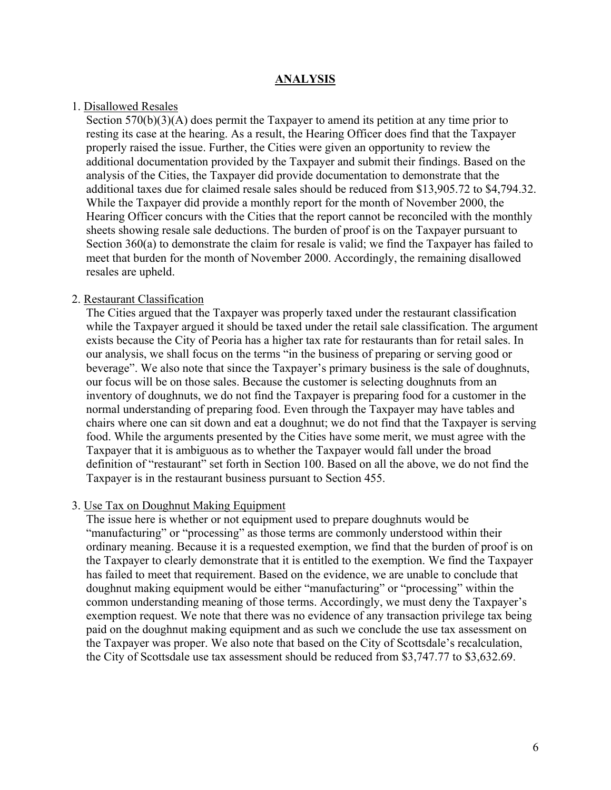#### **ANALYSIS**

#### 1. Disallowed Resales

Section  $570(b)(3)(A)$  does permit the Taxpayer to amend its petition at any time prior to resting its case at the hearing. As a result, the Hearing Officer does find that the Taxpayer properly raised the issue. Further, the Cities were given an opportunity to review the additional documentation provided by the Taxpayer and submit their findings. Based on the analysis of the Cities, the Taxpayer did provide documentation to demonstrate that the additional taxes due for claimed resale sales should be reduced from \$13,905.72 to \$4,794.32. While the Taxpayer did provide a monthly report for the month of November 2000, the Hearing Officer concurs with the Cities that the report cannot be reconciled with the monthly sheets showing resale sale deductions. The burden of proof is on the Taxpayer pursuant to Section 360(a) to demonstrate the claim for resale is valid; we find the Taxpayer has failed to meet that burden for the month of November 2000. Accordingly, the remaining disallowed resales are upheld.

#### 2. Restaurant Classification

The Cities argued that the Taxpayer was properly taxed under the restaurant classification while the Taxpayer argued it should be taxed under the retail sale classification. The argument exists because the City of Peoria has a higher tax rate for restaurants than for retail sales. In our analysis, we shall focus on the terms "in the business of preparing or serving good or beverage". We also note that since the Taxpayer's primary business is the sale of doughnuts, our focus will be on those sales. Because the customer is selecting doughnuts from an inventory of doughnuts, we do not find the Taxpayer is preparing food for a customer in the normal understanding of preparing food. Even through the Taxpayer may have tables and chairs where one can sit down and eat a doughnut; we do not find that the Taxpayer is serving food. While the arguments presented by the Cities have some merit, we must agree with the Taxpayer that it is ambiguous as to whether the Taxpayer would fall under the broad definition of "restaurant" set forth in Section 100. Based on all the above, we do not find the Taxpayer is in the restaurant business pursuant to Section 455.

#### 3. Use Tax on Doughnut Making Equipment

The issue here is whether or not equipment used to prepare doughnuts would be "manufacturing" or "processing" as those terms are commonly understood within their ordinary meaning. Because it is a requested exemption, we find that the burden of proof is on the Taxpayer to clearly demonstrate that it is entitled to the exemption. We find the Taxpayer has failed to meet that requirement. Based on the evidence, we are unable to conclude that doughnut making equipment would be either "manufacturing" or "processing" within the common understanding meaning of those terms. Accordingly, we must deny the Taxpayer's exemption request. We note that there was no evidence of any transaction privilege tax being paid on the doughnut making equipment and as such we conclude the use tax assessment on the Taxpayer was proper. We also note that based on the City of Scottsdale's recalculation, the City of Scottsdale use tax assessment should be reduced from \$3,747.77 to \$3,632.69.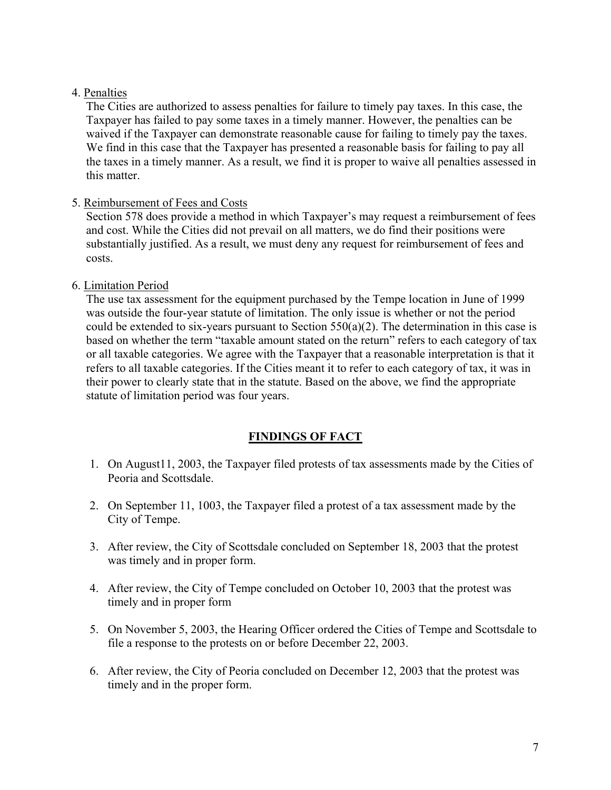## 4. Penalties

The Cities are authorized to assess penalties for failure to timely pay taxes. In this case, the Taxpayer has failed to pay some taxes in a timely manner. However, the penalties can be waived if the Taxpayer can demonstrate reasonable cause for failing to timely pay the taxes. We find in this case that the Taxpayer has presented a reasonable basis for failing to pay all the taxes in a timely manner. As a result, we find it is proper to waive all penalties assessed in this matter.

## 5. Reimbursement of Fees and Costs

Section 578 does provide a method in which Taxpayer's may request a reimbursement of fees and cost. While the Cities did not prevail on all matters, we do find their positions were substantially justified. As a result, we must deny any request for reimbursement of fees and costs.

## 6. Limitation Period

The use tax assessment for the equipment purchased by the Tempe location in June of 1999 was outside the four-year statute of limitation. The only issue is whether or not the period could be extended to six-years pursuant to Section 550(a)(2). The determination in this case is based on whether the term "taxable amount stated on the return" refers to each category of tax or all taxable categories. We agree with the Taxpayer that a reasonable interpretation is that it refers to all taxable categories. If the Cities meant it to refer to each category of tax, it was in their power to clearly state that in the statute. Based on the above, we find the appropriate statute of limitation period was four years.

# **FINDINGS OF FACT**

- 1. On August11, 2003, the Taxpayer filed protests of tax assessments made by the Cities of Peoria and Scottsdale.
- 2. On September 11, 1003, the Taxpayer filed a protest of a tax assessment made by the City of Tempe.
- 3. After review, the City of Scottsdale concluded on September 18, 2003 that the protest was timely and in proper form.
- 4. After review, the City of Tempe concluded on October 10, 2003 that the protest was timely and in proper form
- 5. On November 5, 2003, the Hearing Officer ordered the Cities of Tempe and Scottsdale to file a response to the protests on or before December 22, 2003.
- 6. After review, the City of Peoria concluded on December 12, 2003 that the protest was timely and in the proper form.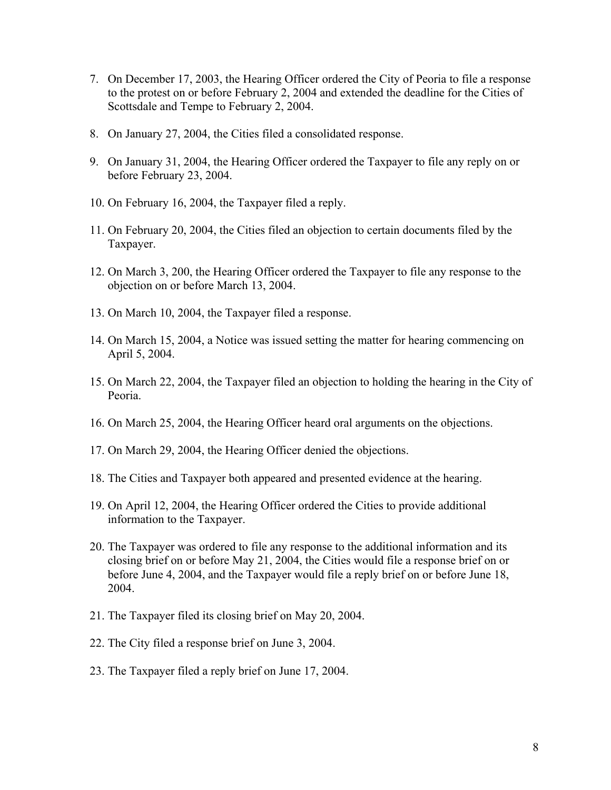- 7. On December 17, 2003, the Hearing Officer ordered the City of Peoria to file a response to the protest on or before February 2, 2004 and extended the deadline for the Cities of Scottsdale and Tempe to February 2, 2004.
- 8. On January 27, 2004, the Cities filed a consolidated response.
- 9. On January 31, 2004, the Hearing Officer ordered the Taxpayer to file any reply on or before February 23, 2004.
- 10. On February 16, 2004, the Taxpayer filed a reply.
- 11. On February 20, 2004, the Cities filed an objection to certain documents filed by the Taxpayer.
- 12. On March 3, 200, the Hearing Officer ordered the Taxpayer to file any response to the objection on or before March 13, 2004.
- 13. On March 10, 2004, the Taxpayer filed a response.
- 14. On March 15, 2004, a Notice was issued setting the matter for hearing commencing on April 5, 2004.
- 15. On March 22, 2004, the Taxpayer filed an objection to holding the hearing in the City of Peoria.
- 16. On March 25, 2004, the Hearing Officer heard oral arguments on the objections.
- 17. On March 29, 2004, the Hearing Officer denied the objections.
- 18. The Cities and Taxpayer both appeared and presented evidence at the hearing.
- 19. On April 12, 2004, the Hearing Officer ordered the Cities to provide additional information to the Taxpayer.
- 20. The Taxpayer was ordered to file any response to the additional information and its closing brief on or before May 21, 2004, the Cities would file a response brief on or before June 4, 2004, and the Taxpayer would file a reply brief on or before June 18, 2004.
- 21. The Taxpayer filed its closing brief on May 20, 2004.
- 22. The City filed a response brief on June 3, 2004.
- 23. The Taxpayer filed a reply brief on June 17, 2004.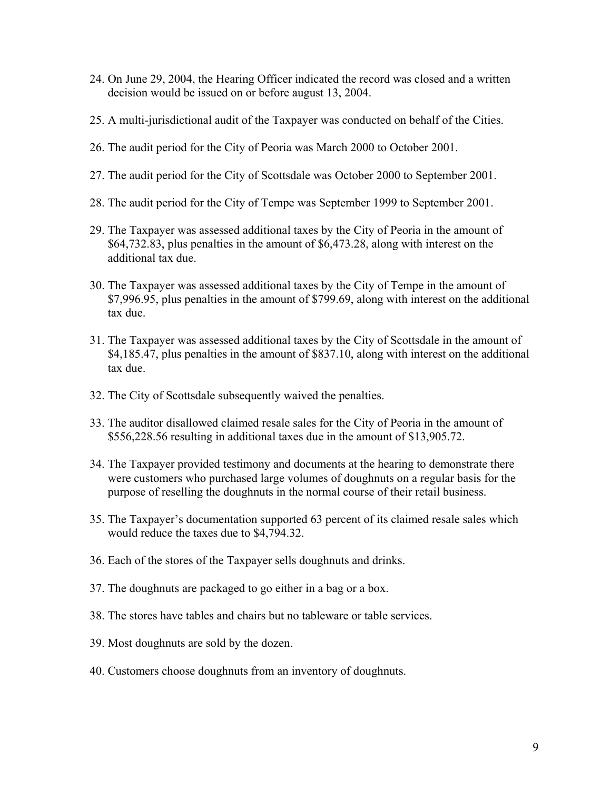- 24. On June 29, 2004, the Hearing Officer indicated the record was closed and a written decision would be issued on or before august 13, 2004.
- 25. A multi-jurisdictional audit of the Taxpayer was conducted on behalf of the Cities.
- 26. The audit period for the City of Peoria was March 2000 to October 2001.
- 27. The audit period for the City of Scottsdale was October 2000 to September 2001.
- 28. The audit period for the City of Tempe was September 1999 to September 2001.
- 29. The Taxpayer was assessed additional taxes by the City of Peoria in the amount of \$64,732.83, plus penalties in the amount of \$6,473.28, along with interest on the additional tax due.
- 30. The Taxpayer was assessed additional taxes by the City of Tempe in the amount of \$7,996.95, plus penalties in the amount of \$799.69, along with interest on the additional tax due.
- 31. The Taxpayer was assessed additional taxes by the City of Scottsdale in the amount of \$4,185.47, plus penalties in the amount of \$837.10, along with interest on the additional tax due.
- 32. The City of Scottsdale subsequently waived the penalties.
- 33. The auditor disallowed claimed resale sales for the City of Peoria in the amount of \$556,228.56 resulting in additional taxes due in the amount of \$13,905.72.
- 34. The Taxpayer provided testimony and documents at the hearing to demonstrate there were customers who purchased large volumes of doughnuts on a regular basis for the purpose of reselling the doughnuts in the normal course of their retail business.
- 35. The Taxpayer's documentation supported 63 percent of its claimed resale sales which would reduce the taxes due to \$4,794.32.
- 36. Each of the stores of the Taxpayer sells doughnuts and drinks.
- 37. The doughnuts are packaged to go either in a bag or a box.
- 38. The stores have tables and chairs but no tableware or table services.
- 39. Most doughnuts are sold by the dozen.
- 40. Customers choose doughnuts from an inventory of doughnuts.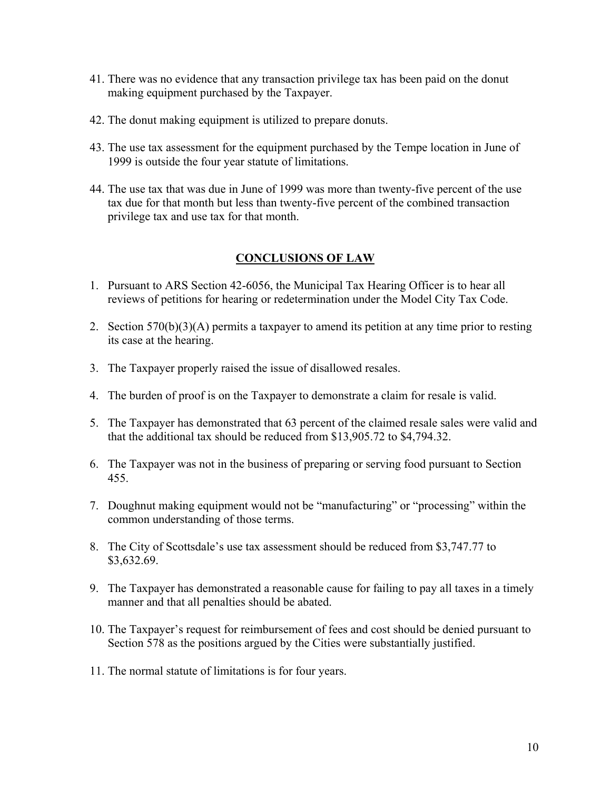- 41. There was no evidence that any transaction privilege tax has been paid on the donut making equipment purchased by the Taxpayer.
- 42. The donut making equipment is utilized to prepare donuts.
- 43. The use tax assessment for the equipment purchased by the Tempe location in June of 1999 is outside the four year statute of limitations.
- 44. The use tax that was due in June of 1999 was more than twenty-five percent of the use tax due for that month but less than twenty-five percent of the combined transaction privilege tax and use tax for that month.

# **CONCLUSIONS OF LAW**

- 1. Pursuant to ARS Section 42-6056, the Municipal Tax Hearing Officer is to hear all reviews of petitions for hearing or redetermination under the Model City Tax Code.
- 2. Section 570(b)(3)(A) permits a taxpayer to amend its petition at any time prior to resting its case at the hearing.
- 3. The Taxpayer properly raised the issue of disallowed resales.
- 4. The burden of proof is on the Taxpayer to demonstrate a claim for resale is valid.
- 5. The Taxpayer has demonstrated that 63 percent of the claimed resale sales were valid and that the additional tax should be reduced from \$13,905.72 to \$4,794.32.
- 6. The Taxpayer was not in the business of preparing or serving food pursuant to Section 455.
- 7. Doughnut making equipment would not be "manufacturing" or "processing" within the common understanding of those terms.
- 8. The City of Scottsdale's use tax assessment should be reduced from \$3,747.77 to \$3,632.69.
- 9. The Taxpayer has demonstrated a reasonable cause for failing to pay all taxes in a timely manner and that all penalties should be abated.
- 10. The Taxpayer's request for reimbursement of fees and cost should be denied pursuant to Section 578 as the positions argued by the Cities were substantially justified.
- 11. The normal statute of limitations is for four years.